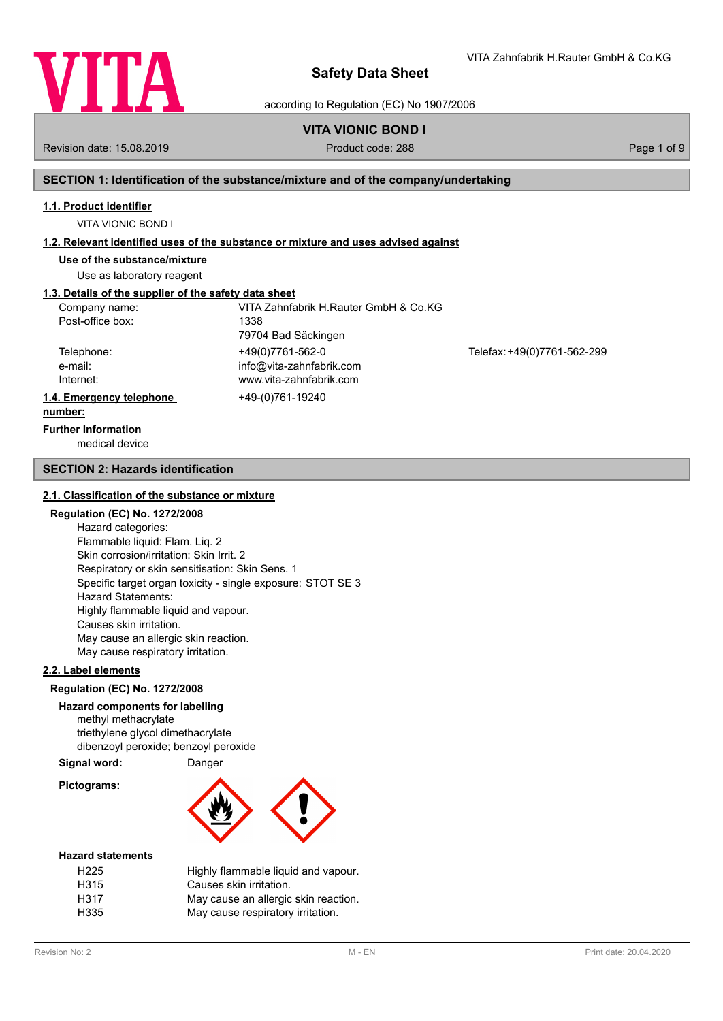

VITA Zahnfabrik H.Rauter GmbH & Co.KG

according to Regulation (EC) No 1907/2006

# **VITA VIONIC BOND I**

Revision date: 15.08.2019 **Product code: 288** Page 1 of 9

# **SECTION 1: Identification of the substance/mixture and of the company/undertaking**

# **1.1. Product identifier**

VITA VIONIC BOND I

### **1.2. Relevant identified uses of the substance or mixture and uses advised against**

**Use of the substance/mixture**

Use as laboratory reagent

# **1.3. Details of the supplier of the safety data sheet**

| Company name:            | VITA Zahnfabrik H.Rauter GmbH & Co.KG |                             |
|--------------------------|---------------------------------------|-----------------------------|
| Post-office box:         | 1338                                  |                             |
|                          | 79704 Bad Säckingen                   |                             |
| Telephone:               | +49(0)7761-562-0                      | Telefax: +49(0)7761-562-299 |
| e-mail:                  | info@vita-zahnfabrik.com              |                             |
| Internet:                | www.vita-zahnfabrik.com               |                             |
| 1.4. Emergency telephone | +49-(0)761-19240                      |                             |
| number:                  |                                       |                             |

# **Further Information**

medical device

## **SECTION 2: Hazards identification**

#### **2.1. Classification of the substance or mixture**

## **Regulation (EC) No. 1272/2008**

Hazard categories: Flammable liquid: Flam. Liq. 2 Skin corrosion/irritation: Skin Irrit. 2 Respiratory or skin sensitisation: Skin Sens. 1 Specific target organ toxicity - single exposure: STOT SE 3 Hazard Statements: Highly flammable liquid and vapour. Causes skin irritation. May cause an allergic skin reaction. May cause respiratory irritation.

## **2.2. Label elements**

### **Regulation (EC) No. 1272/2008**

# **Hazard components for labelling**

methyl methacrylate triethylene glycol dimethacrylate dibenzoyl peroxide; benzoyl peroxide

# **Signal word:** Danger

**Pictograms:**



#### **Hazard statements**

| H <sub>225</sub> | Highly flammable liquid and vapour.  |
|------------------|--------------------------------------|
| H315             | Causes skin irritation.              |
| H317             | May cause an allergic skin reaction. |
| H335             | May cause respiratory irritation.    |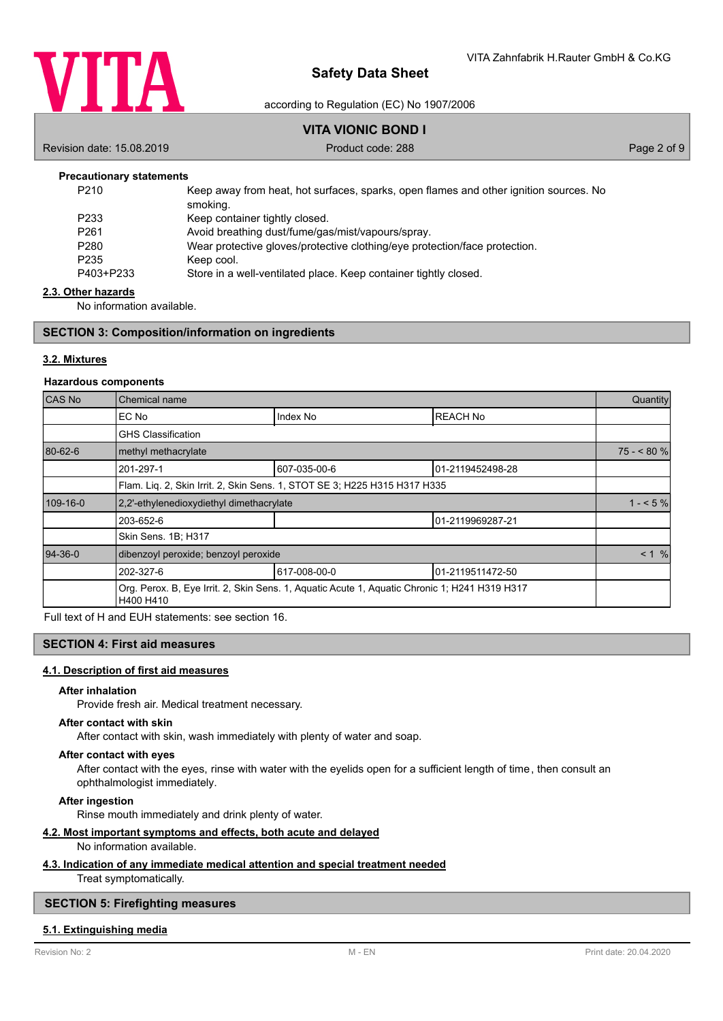

according to Regulation (EC) No 1907/2006

# **VITA VIONIC BOND I**

Revision date: 15.08.2019 **Product code: 288** Page 2 of 9

### **Precautionary statements**

| P <sub>210</sub> | Keep away from heat, hot surfaces, sparks, open flames and other ignition sources. No<br>smoking. |
|------------------|---------------------------------------------------------------------------------------------------|
| P <sub>233</sub> | Keep container tightly closed.                                                                    |
| P <sub>261</sub> | Avoid breathing dust/fume/gas/mist/vapours/spray.                                                 |
| P <sub>280</sub> | Wear protective gloves/protective clothing/eye protection/face protection.                        |
| P <sub>235</sub> | Keep cool.                                                                                        |
| P403+P233        | Store in a well-ventilated place. Keep container tightly closed.                                  |

#### **2.3. Other hazards**

No information available.

### **SECTION 3: Composition/information on ingredients**

## **3.2. Mixtures**

#### **Hazardous components**

| CAS No    | Chemical name                                                             |                                                                                               |                  | Quantity   |
|-----------|---------------------------------------------------------------------------|-----------------------------------------------------------------------------------------------|------------------|------------|
|           | EC No                                                                     | Index No                                                                                      | <b>REACH No</b>  |            |
|           | <b>GHS Classification</b>                                                 |                                                                                               |                  |            |
| 80-62-6   | methyl methacrylate                                                       |                                                                                               |                  | $75 - 80%$ |
|           | 201-297-1                                                                 | 607-035-00-6                                                                                  | 01-2119452498-28 |            |
|           | Flam. Liq. 2, Skin Irrit. 2, Skin Sens. 1, STOT SE 3; H225 H315 H317 H335 |                                                                                               |                  |            |
| 109-16-0  | 2.2'-ethylenedioxydiethyl dimethacrylate                                  |                                                                                               | $1 - 5\%$        |            |
|           | 203-652-6                                                                 |                                                                                               | 01-2119969287-21 |            |
|           | Skin Sens. 1B; H317                                                       |                                                                                               |                  |            |
| $94-36-0$ | dibenzoyl peroxide; benzoyl peroxide                                      |                                                                                               |                  | < 1 %      |
|           | 202-327-6                                                                 | 617-008-00-0                                                                                  | 01-2119511472-50 |            |
|           | H400 H410                                                                 | Org. Perox. B, Eye Irrit. 2, Skin Sens. 1, Aquatic Acute 1, Aquatic Chronic 1; H241 H319 H317 |                  |            |

Full text of H and EUH statements: see section 16.

# **SECTION 4: First aid measures**

#### **4.1. Description of first aid measures**

### **After inhalation**

Provide fresh air. Medical treatment necessary.

#### **After contact with skin**

After contact with skin, wash immediately with plenty of water and soap.

## **After contact with eyes**

After contact with the eyes, rinse with water with the eyelids open for a sufficient length of time, then consult an ophthalmologist immediately.

**After ingestion**

Rinse mouth immediately and drink plenty of water.

# **4.2. Most important symptoms and effects, both acute and delayed**

# No information available.

#### **4.3. Indication of any immediate medical attention and special treatment needed**

Treat symptomatically.

## **SECTION 5: Firefighting measures**

#### **5.1. Extinguishing media**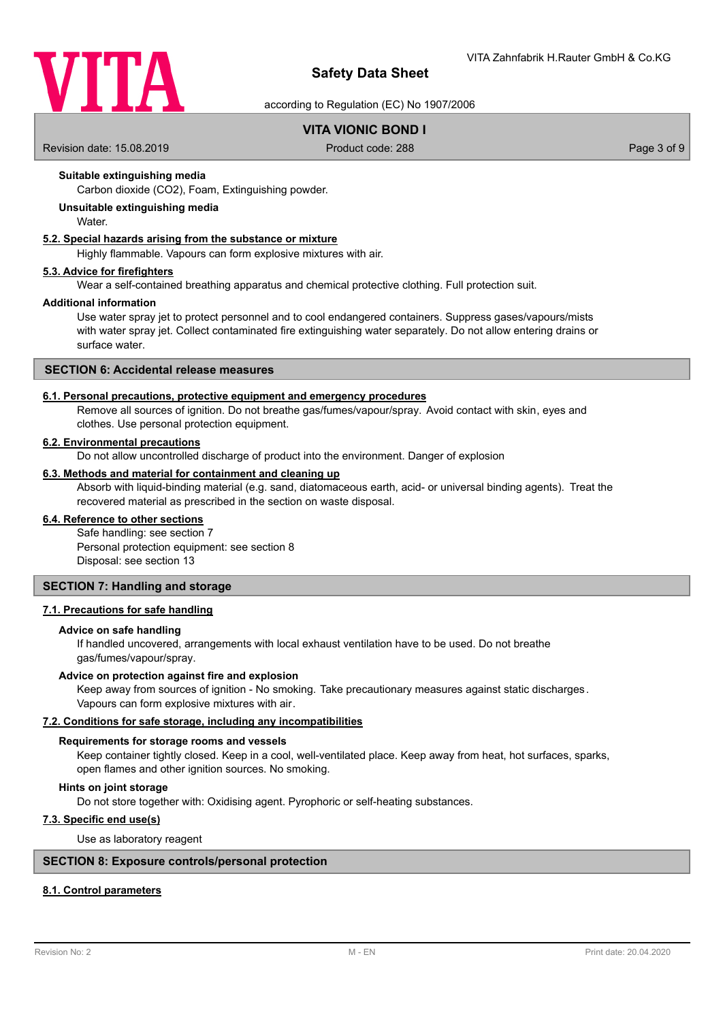

according to Regulation (EC) No 1907/2006

# **VITA VIONIC BOND I**

Revision date: 15.08.2019 **Product code: 288** Page 3 of 9

# **Suitable extinguishing media**

Carbon dioxide (CO2), Foam, Extinguishing powder.

# **Unsuitable extinguishing media**

**Water** 

# **5.2. Special hazards arising from the substance or mixture**

Highly flammable. Vapours can form explosive mixtures with air.

#### **5.3. Advice for firefighters**

Wear a self-contained breathing apparatus and chemical protective clothing. Full protection suit.

#### **Additional information**

Use water spray jet to protect personnel and to cool endangered containers. Suppress gases/vapours/mists with water spray jet. Collect contaminated fire extinguishing water separately. Do not allow entering drains or surface water.

# **SECTION 6: Accidental release measures**

#### **6.1. Personal precautions, protective equipment and emergency procedures**

Remove all sources of ignition. Do not breathe gas/fumes/vapour/spray. Avoid contact with skin, eyes and clothes. Use personal protection equipment.

#### **6.2. Environmental precautions**

Do not allow uncontrolled discharge of product into the environment. Danger of explosion

### **6.3. Methods and material for containment and cleaning up**

Absorb with liquid-binding material (e.g. sand, diatomaceous earth, acid- or universal binding agents). Treat the recovered material as prescribed in the section on waste disposal.

# **6.4. Reference to other sections**

Safe handling: see section 7 Personal protection equipment: see section 8 Disposal: see section 13

### **SECTION 7: Handling and storage**

# **7.1. Precautions for safe handling**

#### **Advice on safe handling**

If handled uncovered, arrangements with local exhaust ventilation have to be used. Do not breathe gas/fumes/vapour/spray.

#### **Advice on protection against fire and explosion**

Keep away from sources of ignition - No smoking. Take precautionary measures against static discharges. Vapours can form explosive mixtures with air.

### **7.2. Conditions for safe storage, including any incompatibilities**

#### **Requirements for storage rooms and vessels**

Keep container tightly closed. Keep in a cool, well-ventilated place. Keep away from heat, hot surfaces, sparks, open flames and other ignition sources. No smoking.

#### **Hints on joint storage**

Do not store together with: Oxidising agent. Pyrophoric or self-heating substances.

# **7.3. Specific end use(s)**

Use as laboratory reagent

### **SECTION 8: Exposure controls/personal protection**

# **8.1. Control parameters**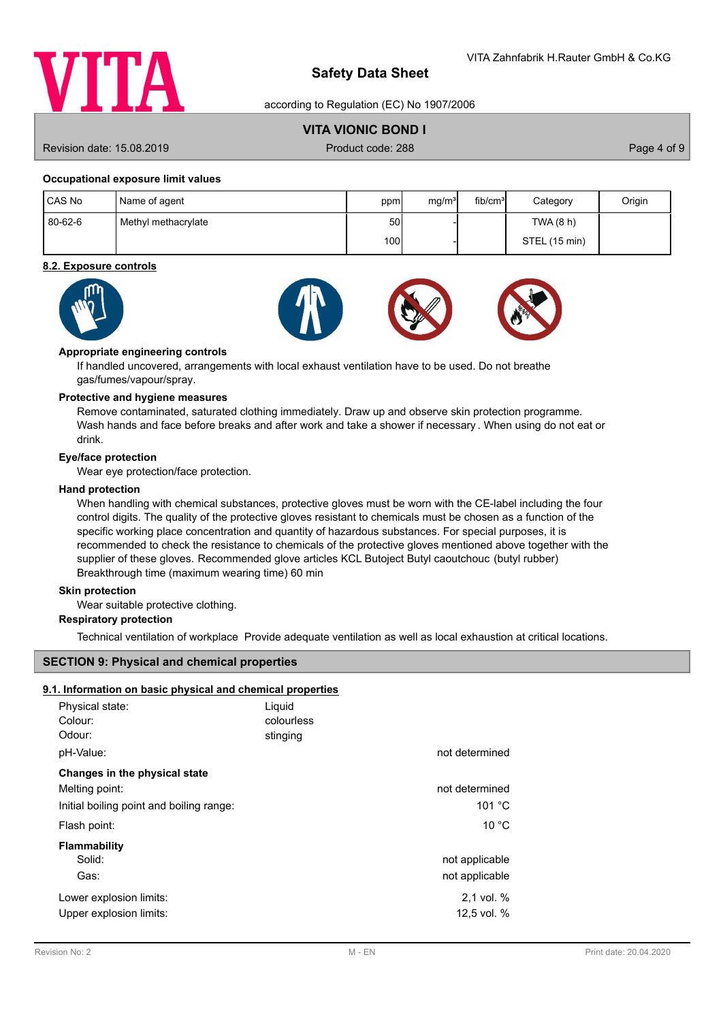

according to Regulation (EC) No 1907/2006

# **VITA VIONIC BOND I**

Revision date: 15.08.2019 **Product code: 288** Page 4 of 9

## **Occupational exposure limit values**

| CAS No  | Name of agent       | ppm              | ma/m <sup>3</sup> | fib/cm <sup>3</sup> | Category      | Origin |
|---------|---------------------|------------------|-------------------|---------------------|---------------|--------|
| 80-62-6 | Methyl methacrylate | 50I              |                   |                     | TWA (8 h)     |        |
|         |                     | 100 <sup>1</sup> |                   |                     | STEL (15 min) |        |

## **8.2. Exposure controls**









### **Appropriate engineering controls**

If handled uncovered, arrangements with local exhaust ventilation have to be used. Do not breathe gas/fumes/vapour/spray.

### **Protective and hygiene measures**

Remove contaminated, saturated clothing immediately. Draw up and observe skin protection programme. Wash hands and face before breaks and after work and take a shower if necessary . When using do not eat or drink.

## **Eye/face protection**

Wear eye protection/face protection.

## **Hand protection**

When handling with chemical substances, protective gloves must be worn with the CE-label including the four control digits. The quality of the protective gloves resistant to chemicals must be chosen as a function of the specific working place concentration and quantity of hazardous substances. For special purposes, it is recommended to check the resistance to chemicals of the protective gloves mentioned above together with the supplier of these gloves. Recommended glove articles KCL Butoject Butyl caoutchouc (butyl rubber) Breakthrough time (maximum wearing time) 60 min

#### **Skin protection**

Wear suitable protective clothing.

# **Respiratory protection**

Technical ventilation of workplace Provide adequate ventilation as well as local exhaustion at critical locations.

# **SECTION 9: Physical and chemical properties**

## **9.1. Information on basic physical and chemical properties**

| Physical state:<br>Colour:<br>Odour:<br>pH-Value:                                           | Liquid<br>colourless<br>stinging | not determined                   |
|---------------------------------------------------------------------------------------------|----------------------------------|----------------------------------|
| Changes in the physical state<br>Melting point:<br>Initial boiling point and boiling range: |                                  | not determined<br>101 °C         |
| Flash point:                                                                                |                                  | 10 °C                            |
| Flammability<br>Solid:<br>Gas:                                                              |                                  | not applicable<br>not applicable |
| Lower explosion limits:<br>Upper explosion limits:                                          |                                  | 2.1 vol. %<br>12,5 vol. %        |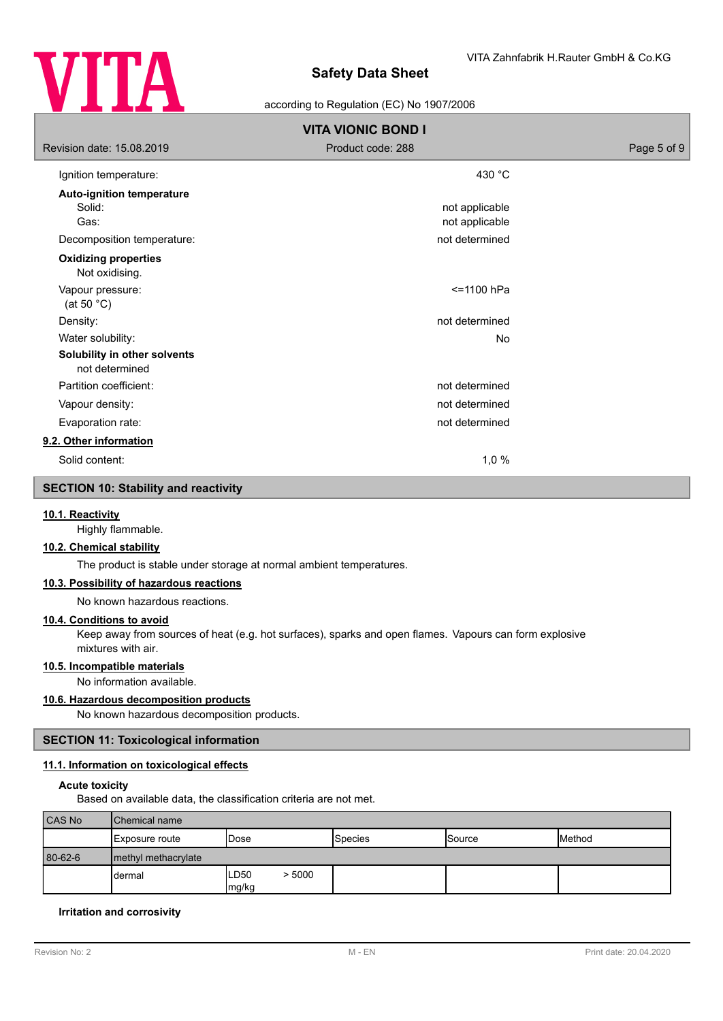

# according to Regulation (EC) No 1907/2006

| <b>VITA VIONIC BOND I</b>                          |                                  |             |  |  |
|----------------------------------------------------|----------------------------------|-------------|--|--|
| Revision date: 15.08.2019                          | Product code: 288                | Page 5 of 9 |  |  |
| Ignition temperature:                              | 430 °C                           |             |  |  |
| <b>Auto-ignition temperature</b><br>Solid:<br>Gas: | not applicable<br>not applicable |             |  |  |
| Decomposition temperature:                         | not determined                   |             |  |  |
| <b>Oxidizing properties</b><br>Not oxidising.      |                                  |             |  |  |
| Vapour pressure:<br>(at 50 $^{\circ}$ C)           | <=1100 hPa                       |             |  |  |
| Density:                                           | not determined                   |             |  |  |
| Water solubility:                                  | No                               |             |  |  |
| Solubility in other solvents<br>not determined     |                                  |             |  |  |
| Partition coefficient:                             | not determined                   |             |  |  |
| Vapour density:                                    | not determined                   |             |  |  |
| Evaporation rate:                                  | not determined                   |             |  |  |
| 9.2. Other information                             |                                  |             |  |  |
| Solid content:                                     | 1,0%                             |             |  |  |

# **SECTION 10: Stability and reactivity**

## **10.1. Reactivity**

Highly flammable.

# **10.2. Chemical stability**

The product is stable under storage at normal ambient temperatures.

# **10.3. Possibility of hazardous reactions**

No known hazardous reactions.

#### **10.4. Conditions to avoid**

Keep away from sources of heat (e.g. hot surfaces), sparks and open flames. Vapours can form explosive mixtures with air.

# **10.5. Incompatible materials**

No information available.

# **10.6. Hazardous decomposition products**

No known hazardous decomposition products.

# **SECTION 11: Toxicological information**

# **11.1. Information on toxicological effects**

# **Acute toxicity**

Based on available data, the classification criteria are not met.

| CAS No  | <b>Chemical name</b>   |                          |         |               |                |
|---------|------------------------|--------------------------|---------|---------------|----------------|
|         | <b>IExposure route</b> | 'Dose                    | Species | <b>Source</b> | <b>IMethod</b> |
| 80-62-6 | I methyl methacrylate  |                          |         |               |                |
|         | dermal                 | > 5000<br>ILD50<br>mg/kg |         |               |                |

## **Irritation and corrosivity**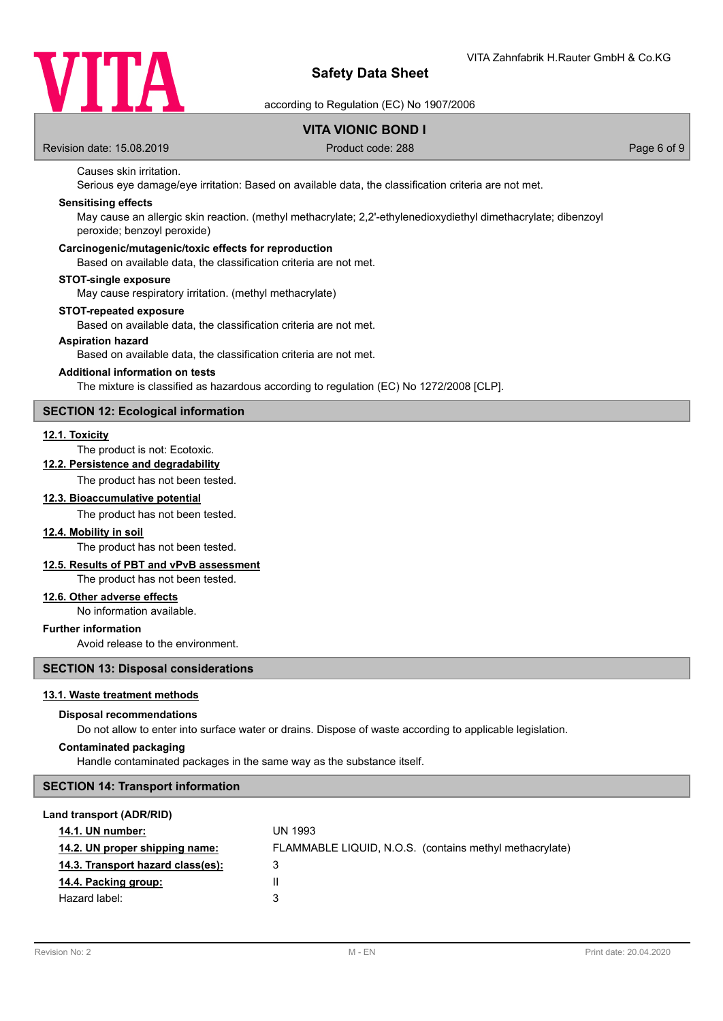

according to Regulation (EC) No 1907/2006

# **VITA VIONIC BOND I**

Revision date: 15.08.2019 **Product code: 288** Page 6 of 9

# Causes skin irritation.

Serious eye damage/eye irritation: Based on available data, the classification criteria are not met.

## **Sensitising effects**

May cause an allergic skin reaction. (methyl methacrylate; 2,2'-ethylenedioxydiethyl dimethacrylate; dibenzoyl peroxide; benzoyl peroxide)

#### **Carcinogenic/mutagenic/toxic effects for reproduction**

Based on available data, the classification criteria are not met.

#### **STOT-single exposure**

May cause respiratory irritation. (methyl methacrylate)

# **STOT-repeated exposure**

Based on available data, the classification criteria are not met.

#### **Aspiration hazard**

Based on available data, the classification criteria are not met.

## **Additional information on tests**

The mixture is classified as hazardous according to regulation (EC) No 1272/2008 [CLP].

### **SECTION 12: Ecological information**

#### **12.1. Toxicity**

# The product is not: Ecotoxic.

**12.2. Persistence and degradability**

The product has not been tested.

#### **12.3. Bioaccumulative potential**

The product has not been tested.

# **12.4. Mobility in soil**

The product has not been tested.

# **12.5. Results of PBT and vPvB assessment**

The product has not been tested.

# **12.6. Other adverse effects**

No information available.

### **Further information**

Avoid release to the environment.

#### **SECTION 13: Disposal considerations**

#### **13.1. Waste treatment methods**

#### **Disposal recommendations**

Do not allow to enter into surface water or drains. Dispose of waste according to applicable legislation.

# **Contaminated packaging**

Handle contaminated packages in the same way as the substance itself.

## **SECTION 14: Transport information**

#### **Land transport (ADR/RID)**

| 14.1. UN number:                  | <b>UN 1993</b>                                          |
|-----------------------------------|---------------------------------------------------------|
| 14.2. UN proper shipping name:    | FLAMMABLE LIQUID, N.O.S. (contains methyl methacrylate) |
| 14.3. Transport hazard class(es): | З                                                       |
| 14.4. Packing group:              | Ш                                                       |
| Hazard label:                     | 3                                                       |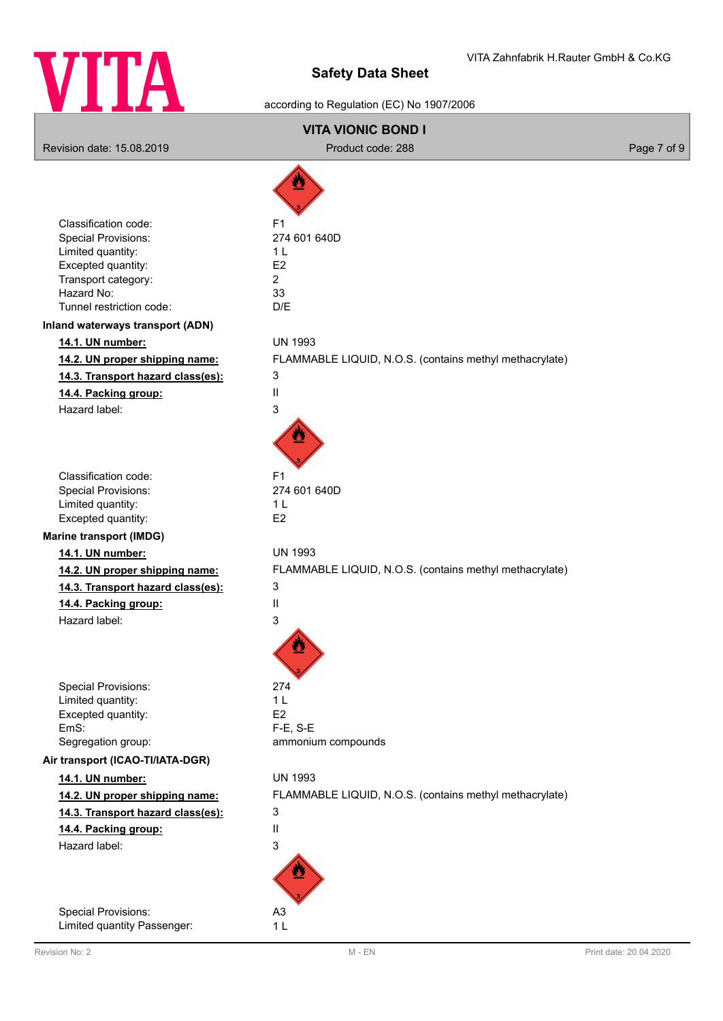

# according to Regulation (EC) No 1907/2006

# **VITA VIONIC BOND I** Revision date: 15.08.2019 **Product code: 288** Product code: 288 Page 7 of 9 Classification code: F1 Special Provisions: 274 601 640D Limited quantity: 1 L Excepted quantity: E2 Transport category: 2 Hazard No: 33 Tunnel restriction code: D/E **Inland waterways transport (ADN) 14.1. UN number:** UN 1993 **14.2. UN proper shipping name:** FLAMMABLE LIQUID, N.O.S. (contains methyl methacrylate) **14.3. Transport hazard class(es):** 3 **14.4. Packing group:** II Hazard label: 3 Classification code: F1 Special Provisions: 274 601 640D Limited quantity: 1 L Excepted quantity: E2 **Marine transport (IMDG) 14.1. UN number:** UN 1993 **14.2. UN proper shipping name:** FLAMMABLE LIQUID, N.O.S. (contains methyl methacrylate) **14.3. Transport hazard class(es):** 3 **14.4. Packing group:** II Hazard label: 3 Special Provisions: 274 Limited quantity: 1 L Excepted quantity: E2 EmS: F-E, S-E Segregation group: ammonium compounds **Air transport (ICAO-TI/IATA-DGR) 14.1. UN number:** UN 1993 **14.2. UN proper shipping name:** FLAMMABLE LIQUID, N.O.S. (contains methyl methacrylate) **14.3. Transport hazard class(es):** 3 **14.4. Packing group:** II Hazard label: 3 Special Provisions: A3

Limited quantity Passenger: 1 L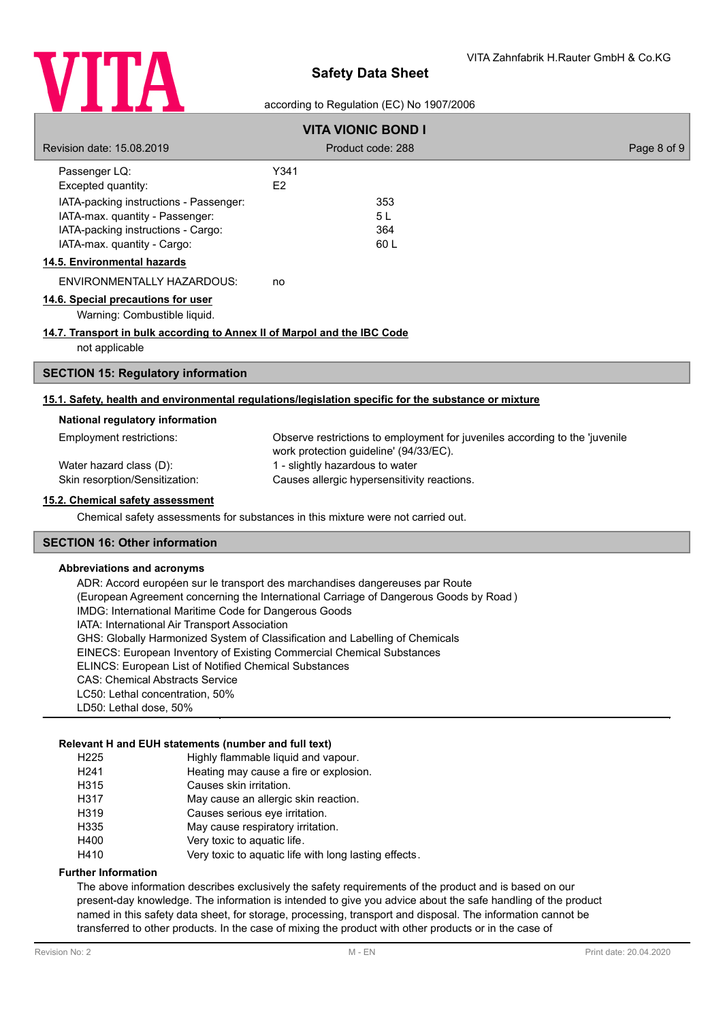

# according to Regulation (EC) No 1907/2006

| <b>VITA VIONIC BOND I</b>                                                                                                                      |                                                                                                                       |             |  |
|------------------------------------------------------------------------------------------------------------------------------------------------|-----------------------------------------------------------------------------------------------------------------------|-------------|--|
| Revision date: 15.08.2019                                                                                                                      | Product code: 288                                                                                                     | Page 8 of 9 |  |
| Passenger LQ:<br>Excepted quantity:                                                                                                            | Y341<br>E2                                                                                                            |             |  |
| IATA-packing instructions - Passenger:<br>IATA-max. quantity - Passenger:<br>IATA-packing instructions - Cargo:<br>IATA-max. quantity - Cargo: | 353<br>5L<br>364<br>60 L                                                                                              |             |  |
| 14.5. Environmental hazards                                                                                                                    |                                                                                                                       |             |  |
| ENVIRONMENTALLY HAZARDOUS:                                                                                                                     | no                                                                                                                    |             |  |
| 14.6. Special precautions for user<br>Warning: Combustible liquid.                                                                             |                                                                                                                       |             |  |
| 14.7. Transport in bulk according to Annex II of Marpol and the IBC Code<br>not applicable                                                     |                                                                                                                       |             |  |
| <b>SECTION 15: Regulatory information</b>                                                                                                      |                                                                                                                       |             |  |
|                                                                                                                                                | 15.1. Safety, health and environmental regulations/legislation specific for the substance or mixture                  |             |  |
| National regulatory information                                                                                                                |                                                                                                                       |             |  |
| Employment restrictions:                                                                                                                       | Observe restrictions to employment for juveniles according to the 'juvenile<br>work protection guideline' (94/33/EC). |             |  |
| Water hazard class (D):                                                                                                                        | 1 - slightly hazardous to water                                                                                       |             |  |
| Skin resorption/Sensitization:                                                                                                                 | Causes allergic hypersensitivity reactions.                                                                           |             |  |
| 15.2. Chemical safety assessment                                                                                                               |                                                                                                                       |             |  |
|                                                                                                                                                | Chemical safety assessments for substances in this mixture were not carried out.                                      |             |  |
| <b>SECTION 16: Other information</b>                                                                                                           |                                                                                                                       |             |  |

#### **Abbreviations and acronyms**

ADR: Accord européen sur le transport des marchandises dangereuses par Route (European Agreement concerning the International Carriage of Dangerous Goods by Road ) IMDG: International Maritime Code for Dangerous Goods IATA: International Air Transport Association GHS: Globally Harmonized System of Classification and Labelling of Chemicals EINECS: European Inventory of Existing Commercial Chemical Substances ELINCS: European List of Notified Chemical Substances CAS: Chemical Abstracts Service LC50: Lethal concentration, 50% LD50: Lethal dose, 50%

## **Relevant H and EUH statements (number and full text)**

| H <sub>225</sub> | Highly flammable liquid and vapour.                   |
|------------------|-------------------------------------------------------|
| H <sub>241</sub> | Heating may cause a fire or explosion.                |
| H315             | Causes skin irritation.                               |
| H317             | May cause an allergic skin reaction.                  |
| H319             | Causes serious eye irritation.                        |
| H335             | May cause respiratory irritation.                     |
| H400             | Very toxic to aquatic life.                           |
| H410             | Very toxic to aquatic life with long lasting effects. |

#### **Further Information**

The above information describes exclusively the safety requirements of the product and is based on our present-day knowledge. The information is intended to give you advice about the safe handling of the product named in this safety data sheet, for storage, processing, transport and disposal. The information cannot be transferred to other products. In the case of mixing the product with other products or in the case of